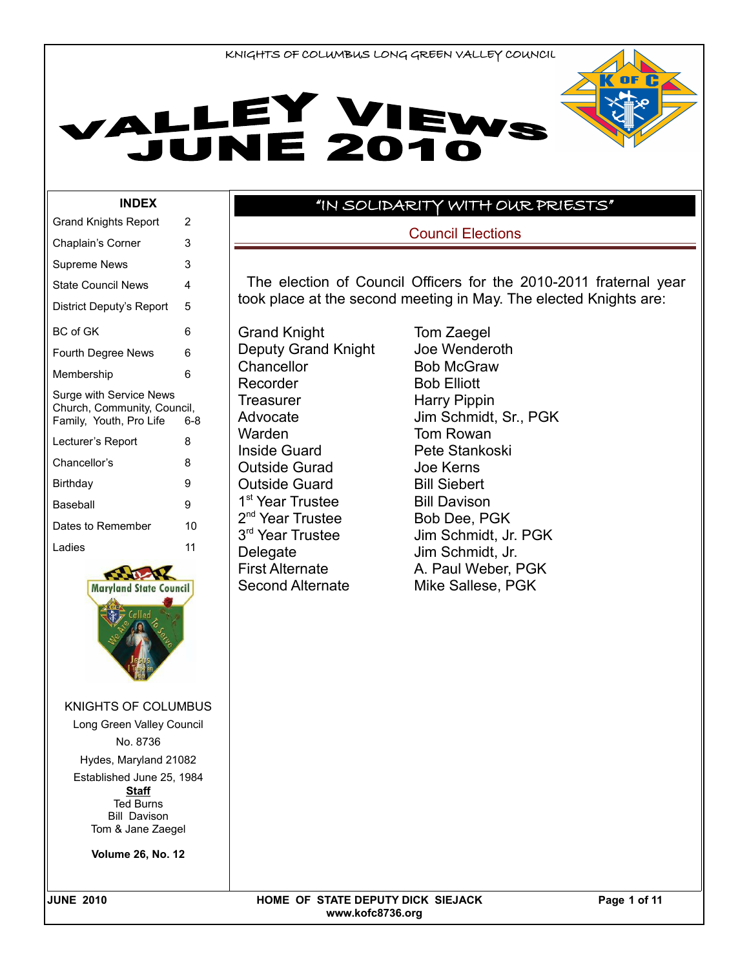



#### **INDEX**

| Grand Knights Report                                                              | 2   |
|-----------------------------------------------------------------------------------|-----|
| Chaplain's Corner                                                                 | 3   |
| Supreme News                                                                      | 3   |
| <b>State Council News</b>                                                         | 4   |
| District Deputy's Report                                                          | 5   |
| BC of GK                                                                          | 6   |
| <b>Fourth Degree News</b>                                                         | 6   |
| Membership                                                                        | 6   |
|                                                                                   |     |
| Surge with Service News<br>Church, Community, Council,<br>Family, Youth, Pro Life | 6-8 |
| Lecturer's Report                                                                 | 8   |
| Chancellor's                                                                      | 8   |
| Birthday                                                                          | 9   |
| Baseball                                                                          | 9   |
| Dates to Remember                                                                 | 10  |



KNIGHTS OF COLUMBUS Long Green Valley Council No. 8736 Hydes, Maryland 21082 Established June 25, 1984 **Staff** Ted Burns Bill Davison Tom & Jane Zaegel

**Volume 26, No. 12**

"IN SOLIDARITY WITH OUR PRIESTS"

Council Elections

The election of Council Officers for the 2010-2011 fraternal year took place at the second meeting in May. The elected Knights are:

Grand Knight Tom Zaegel<br>Deputy Grand Knight Joe Wenderoth Deputy Grand Knight Chancellor Bob McGraw Recorder Bob Elliott Treasurer Harry Pippin Warden **Tom Rowan** Inside Guard Pete Stankoski Outside Gurad **Joe Kerns** Outside Guard Bill Siebert 1<sup>st</sup> Year Trustee **Bill Davison** 2<sup>nd</sup> Year Trustee **Bob Dee, PGK** 3<sup>rd</sup> Year Trustee Delegate Jim Schmidt, Jr. Second Alternate Mike Sallese, PGK

Advocate Jim Schmidt, Sr., PGK Jim Schmidt, Jr. PGK First Alternate A. Paul Weber, PGK

JUNE 2010 **Research Microsoft COME OF STATE DEPUTY DICK SIEJACK Page 1 of 11 www.kofc8736.org**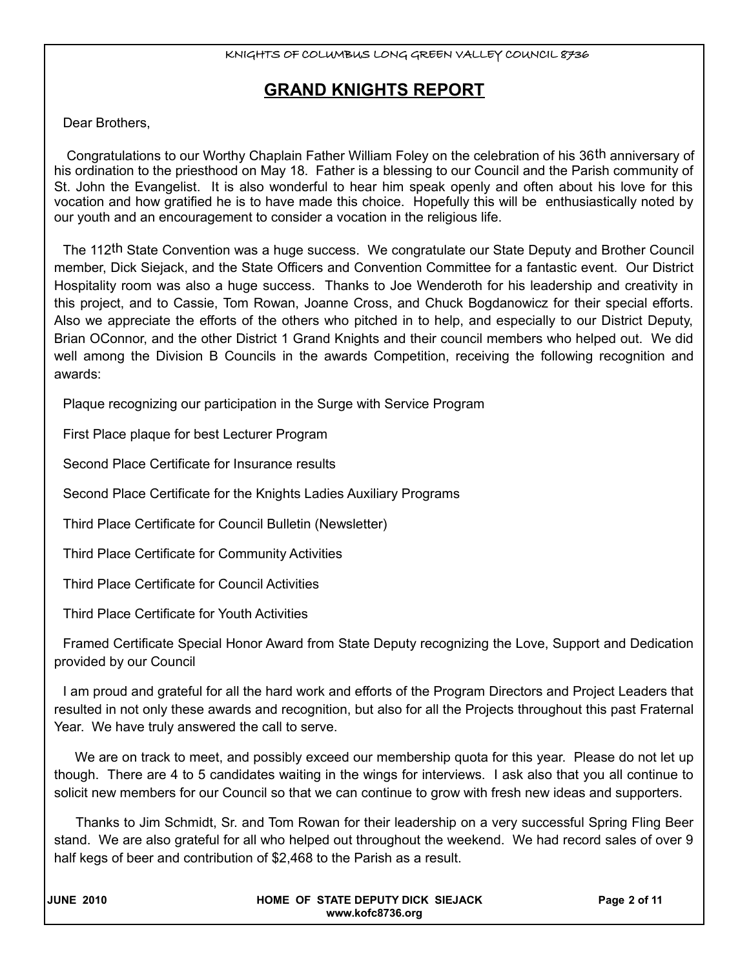### **GRAND KNIGHTS REPORT**

Dear Brothers,

 Congratulations to our Worthy Chaplain Father William Foley on the celebration of his 36th anniversary of his ordination to the priesthood on May 18. Father is a blessing to our Council and the Parish community of St. John the Evangelist. It is also wonderful to hear him speak openly and often about his love for this vocation and how gratified he is to have made this choice. Hopefully this will be enthusiastically noted by our youth and an encouragement to consider a vocation in the religious life.

The 112th State Convention was a huge success. We congratulate our State Deputy and Brother Council member, Dick Siejack, and the State Officers and Convention Committee for a fantastic event. Our District Hospitality room was also a huge success. Thanks to Joe Wenderoth for his leadership and creativity in this project, and to Cassie, Tom Rowan, Joanne Cross, and Chuck Bogdanowicz for their special efforts. Also we appreciate the efforts of the others who pitched in to help, and especially to our District Deputy, Brian OConnor, and the other District 1 Grand Knights and their council members who helped out. We did well among the Division B Councils in the awards Competition, receiving the following recognition and awards:

Plaque recognizing our participation in the Surge with Service Program

First Place plaque for best Lecturer Program

Second Place Certificate for Insurance results

Second Place Certificate for the Knights Ladies Auxiliary Programs

Third Place Certificate for Council Bulletin (Newsletter)

Third Place Certificate for Community Activities

Third Place Certificate for Council Activities

Third Place Certificate for Youth Activities

Framed Certificate Special Honor Award from State Deputy recognizing the Love, Support and Dedication provided by our Council

I am proud and grateful for all the hard work and efforts of the Program Directors and Project Leaders that resulted in not only these awards and recognition, but also for all the Projects throughout this past Fraternal Year. We have truly answered the call to serve.

We are on track to meet, and possibly exceed our membership quota for this year. Please do not let up though. There are 4 to 5 candidates waiting in the wings for interviews. I ask also that you all continue to solicit new members for our Council so that we can continue to grow with fresh new ideas and supporters.

 Thanks to Jim Schmidt, Sr. and Tom Rowan for their leadership on a very successful Spring Fling Beer stand. We are also grateful for all who helped out throughout the weekend. We had record sales of over 9 half kegs of beer and contribution of \$2,468 to the Parish as a result.

| <b>JUNE 2010</b> | HOME OF STATE DEPUTY DICK SIEJACK<br>www.kofc8736.org | Page 2 of 11 |
|------------------|-------------------------------------------------------|--------------|
|------------------|-------------------------------------------------------|--------------|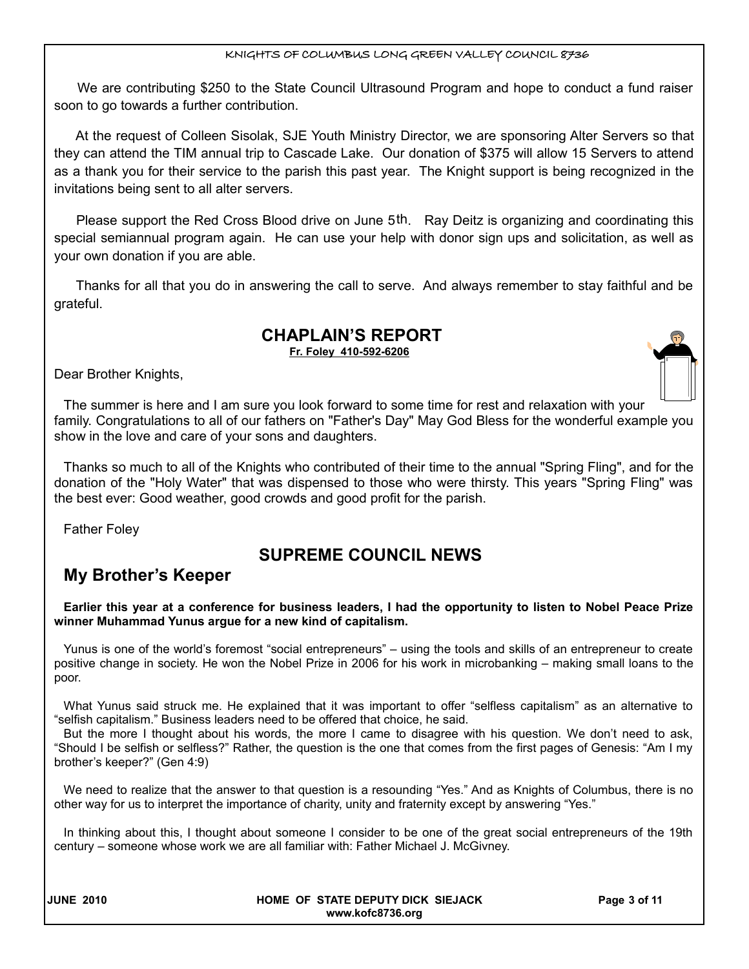We are contributing \$250 to the State Council Ultrasound Program and hope to conduct a fund raiser soon to go towards a further contribution.

 At the request of Colleen Sisolak, SJE Youth Ministry Director, we are sponsoring Alter Servers so that they can attend the TIM annual trip to Cascade Lake. Our donation of \$375 will allow 15 Servers to attend as a thank you for their service to the parish this past year. The Knight support is being recognized in the invitations being sent to all alter servers.

 Please support the Red Cross Blood drive on June 5th. Ray Deitz is organizing and coordinating this special semiannual program again. He can use your help with donor sign ups and solicitation, as well as your own donation if you are able.

 Thanks for all that you do in answering the call to serve. And always remember to stay faithful and be grateful.

### **CHAPLAIN'S REPORT**

**Fr. Foley 410-592-6206**

Dear Brother Knights,

The summer is here and I am sure you look forward to some time for rest and relaxation with your family. Congratulations to all of our fathers on "Father's Day" May God Bless for the wonderful example you show in the love and care of your sons and daughters.

Thanks so much to all of the Knights who contributed of their time to the annual "Spring Fling", and for the donation of the "Holy Water" that was dispensed to those who were thirsty. This years "Spring Fling" was the best ever: Good weather, good crowds and good profit for the parish.

Father Foley

### **SUPREME COUNCIL NEWS**

### **My Brother's Keeper**

**Earlier this year at a conference for business leaders, I had the opportunity to listen to Nobel Peace Prize winner Muhammad Yunus argue for a new kind of capitalism.**

Yunus is one of the world's foremost "social entrepreneurs" – using the tools and skills of an entrepreneur to create positive change in society. He won the Nobel Prize in 2006 for his work in microbanking – making small loans to the poor.

What Yunus said struck me. He explained that it was important to offer "selfless capitalism" as an alternative to "selfish capitalism." Business leaders need to be offered that choice, he said.

But the more I thought about his words, the more I came to disagree with his question. We don't need to ask, "Should I be selfish or selfless?" Rather, the question is the one that comes from the first pages of Genesis: "Am I my brother's keeper?" (Gen 4:9)

We need to realize that the answer to that question is a resounding "Yes." And as Knights of Columbus, there is no other way for us to interpret the importance of charity, unity and fraternity except by answering "Yes."

In thinking about this, I thought about someone I consider to be one of the great social entrepreneurs of the 19th century – someone whose work we are all familiar with: Father Michael J. McGivney.

| <b>JUNE 2010</b> |
|------------------|
|------------------|

#### HOME OF STATE DEPUTY DICK SIEJACK **Page 3 of 11 www.kofc8736.org**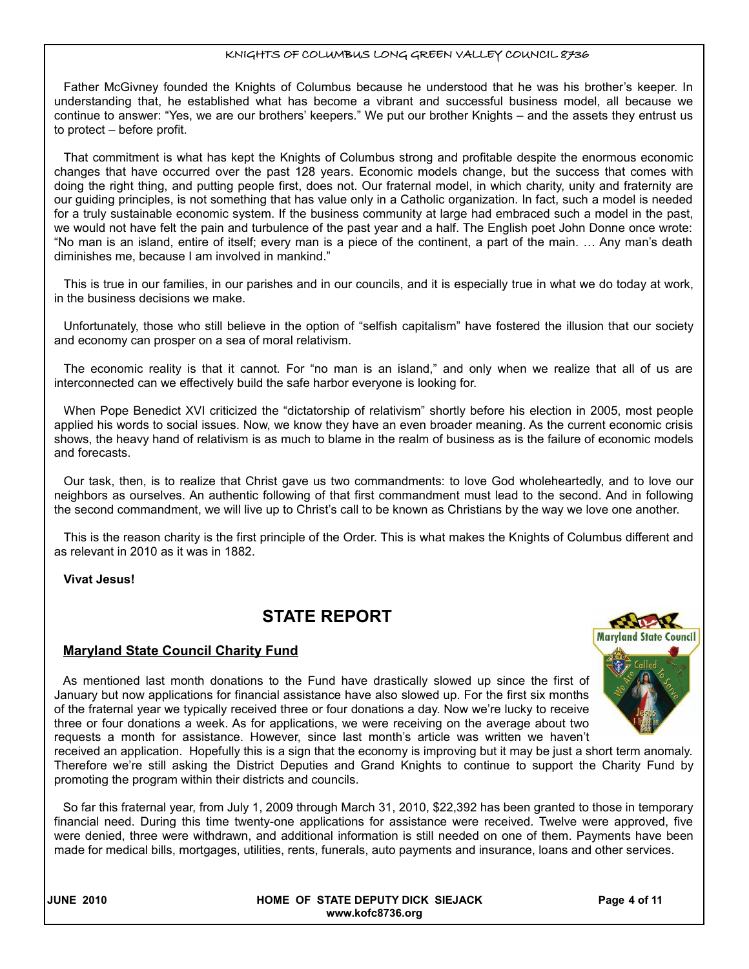Father McGivney founded the Knights of Columbus because he understood that he was his brother's keeper. In understanding that, he established what has become a vibrant and successful business model, all because we continue to answer: "Yes, we are our brothers' keepers." We put our brother Knights – and the assets they entrust us to protect – before profit.

That commitment is what has kept the Knights of Columbus strong and profitable despite the enormous economic changes that have occurred over the past 128 years. Economic models change, but the success that comes with doing the right thing, and putting people first, does not. Our fraternal model, in which charity, unity and fraternity are our guiding principles, is not something that has value only in a Catholic organization. In fact, such a model is needed for a truly sustainable economic system. If the business community at large had embraced such a model in the past, we would not have felt the pain and turbulence of the past year and a half. The English poet John Donne once wrote: "No man is an island, entire of itself; every man is a piece of the continent, a part of the main. … Any man's death diminishes me, because I am involved in mankind."

This is true in our families, in our parishes and in our councils, and it is especially true in what we do today at work, in the business decisions we make.

Unfortunately, those who still believe in the option of "selfish capitalism" have fostered the illusion that our society and economy can prosper on a sea of moral relativism.

The economic reality is that it cannot. For "no man is an island," and only when we realize that all of us are interconnected can we effectively build the safe harbor everyone is looking for.

When Pope Benedict XVI criticized the "dictatorship of relativism" shortly before his election in 2005, most people applied his words to social issues. Now, we know they have an even broader meaning. As the current economic crisis shows, the heavy hand of relativism is as much to blame in the realm of business as is the failure of economic models and forecasts.

Our task, then, is to realize that Christ gave us two commandments: to love God wholeheartedly, and to love our neighbors as ourselves. An authentic following of that first commandment must lead to the second. And in following the second commandment, we will live up to Christ's call to be known as Christians by the way we love one another.

This is the reason charity is the first principle of the Order. This is what makes the Knights of Columbus different and as relevant in 2010 as it was in 1882.

#### **Vivat Jesus!**

### **STATE REPORT**

### **Maryland State Council Charity Fund**

As mentioned last month donations to the Fund have drastically slowed up since the first of January but now applications for financial assistance have also slowed up. For the first six months of the fraternal year we typically received three or four donations a day. Now we're lucky to receive three or four donations a week. As for applications, we were receiving on the average about two requests a month for assistance. However, since last month's article was written we haven't

received an application. Hopefully this is a sign that the economy is improving but it may be just a short term anomaly. Therefore we're still asking the District Deputies and Grand Knights to continue to support the Charity Fund by promoting the program within their districts and councils.

So far this fraternal year, from July 1, 2009 through March 31, 2010, \$22,392 has been granted to those in temporary financial need. During this time twenty-one applications for assistance were received. Twelve were approved, five were denied, three were withdrawn, and additional information is still needed on one of them. Payments have been made for medical bills, mortgages, utilities, rents, funerals, auto payments and insurance, loans and other services.

| <b>JUNE 2010</b> |  |  |
|------------------|--|--|
|                  |  |  |

HOME OF STATE DEPUTY DICK SIEJACK **No. 2010** Page 4 of 11 **www.kofc8736.org**

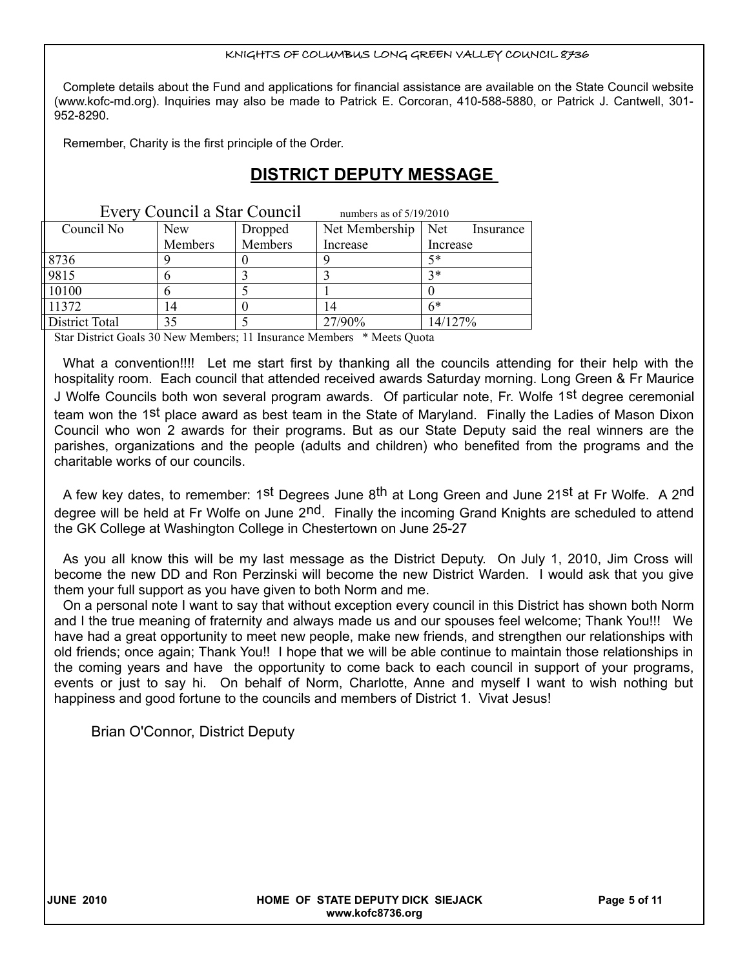Complete details about the Fund and applications for financial assistance are available on the State Council website (www.kofc-md.org). Inquiries may also be made to Patrick E. Corcoran, 410-588-5880, or Patrick J. Cantwell, 301- 952-8290.

Remember, Charity is the first principle of the Order.

### **DISTRICT DEPUTY MESSAGE**

| Every Council a Star Council |            |         | numbers as of $5/19/2010$ |                  |
|------------------------------|------------|---------|---------------------------|------------------|
| Council No                   | <b>New</b> | Dropped | Net Membership            | Net<br>Insurance |
|                              | Members    | Members | Increase                  | Increase         |
| 8736                         |            |         |                           | $5*$             |
| 9815                         |            |         |                           | $3*$             |
| 10100                        |            |         |                           |                  |
| 11372                        | 14         |         |                           | $6*$             |
| District Total               | 35         |         | 27/90%                    | 14/127%          |

Star District Goals 30 New Members; 11 Insurance Members \* Meets Quota

What a convention!!!! Let me start first by thanking all the councils attending for their help with the hospitality room. Each council that attended received awards Saturday morning. Long Green & Fr Maurice J Wolfe Councils both won several program awards. Of particular note, Fr. Wolfe 1st degree ceremonial team won the 1st place award as best team in the State of Maryland. Finally the Ladies of Mason Dixon Council who won 2 awards for their programs. But as our State Deputy said the real winners are the parishes, organizations and the people (adults and children) who benefited from the programs and the charitable works of our councils.

A few key dates, to remember: 1st Degrees June 8th at Long Green and June 21st at Fr Wolfe. A 2nd degree will be held at Fr Wolfe on June 2nd. Finally the incoming Grand Knights are scheduled to attend the GK College at Washington College in Chestertown on June 25-27

As you all know this will be my last message as the District Deputy. On July 1, 2010, Jim Cross will become the new DD and Ron Perzinski will become the new District Warden. I would ask that you give them your full support as you have given to both Norm and me.

On a personal note I want to say that without exception every council in this District has shown both Norm and I the true meaning of fraternity and always made us and our spouses feel welcome; Thank You!!! We have had a great opportunity to meet new people, make new friends, and strengthen our relationships with old friends; once again; Thank You!! I hope that we will be able continue to maintain those relationships in the coming years and have the opportunity to come back to each council in support of your programs, events or just to say hi. On behalf of Norm, Charlotte, Anne and myself I want to wish nothing but happiness and good fortune to the councils and members of District 1. Vivat Jesus!

Brian O'Connor, District Deputy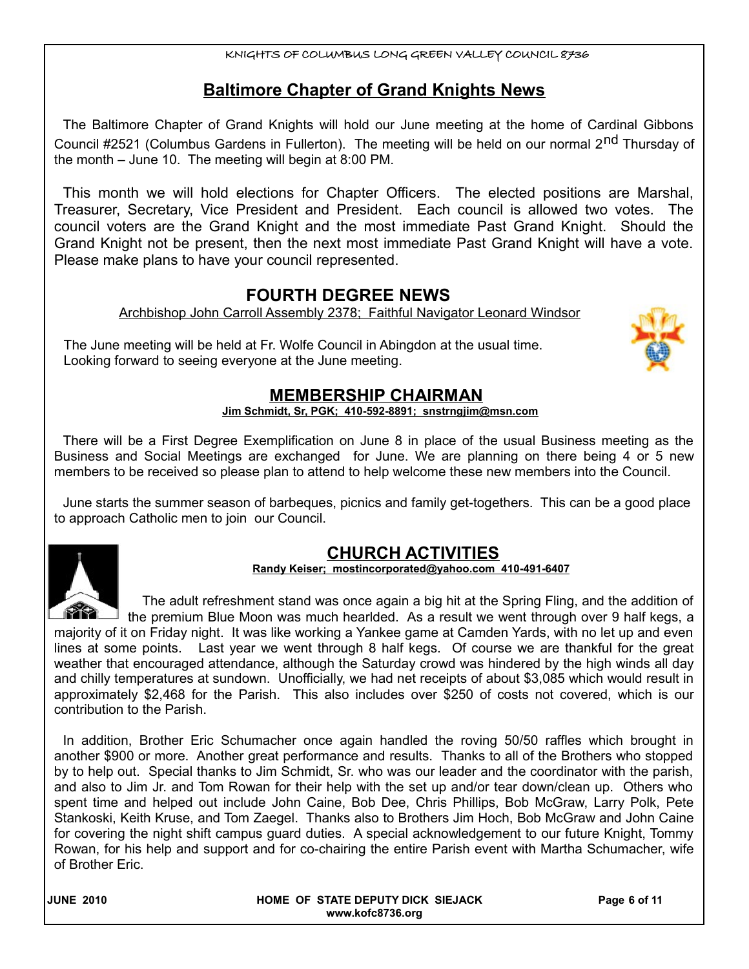### **Baltimore Chapter of Grand Knights News**

The Baltimore Chapter of Grand Knights will hold our June meeting at the home of Cardinal Gibbons Council #2521 (Columbus Gardens in Fullerton). The meeting will be held on our normal 2<sup>nd</sup> Thursday of the month – June 10. The meeting will begin at 8:00 PM.

This month we will hold elections for Chapter Officers. The elected positions are Marshal, Treasurer, Secretary, Vice President and President. Each council is allowed two votes. The council voters are the Grand Knight and the most immediate Past Grand Knight. Should the Grand Knight not be present, then the next most immediate Past Grand Knight will have a vote. Please make plans to have your council represented.

### **FOURTH DEGREE NEWS**

Archbishop John Carroll Assembly 2378; Faithful Navigator Leonard Windsor

The June meeting will be held at Fr. Wolfe Council in Abingdon at the usual time. Looking forward to seeing everyone at the June meeting.



### **MEMBERSHIP CHAIRMAN**

**Jim Schmidt, Sr, PGK; 410-592-8891; snstrngjim@msn.com**

There will be a First Degree Exemplification on June 8 in place of the usual Business meeting as the Business and Social Meetings are exchanged for June. We are planning on there being 4 or 5 new members to be received so please plan to attend to help welcome these new members into the Council.

June starts the summer season of barbeques, picnics and family get-togethers. This can be a good place to approach Catholic men to join our Council.



### **CHURCH ACTIVITIES**

 **Randy Keiser; [mostincorporated@yahoo.com](mailto:mostincorporated@yahoo.com) 410-491-6407**

The adult refreshment stand was once again a big hit at the Spring Fling, and the addition of  $-$  the premium Blue Moon was much hearlded. As a result we went through over 9 half kegs, a majority of it on Friday night. It was like working a Yankee game at Camden Yards, with no let up and even lines at some points. Last year we went through 8 half kegs. Of course we are thankful for the great

weather that encouraged attendance, although the Saturday crowd was hindered by the high winds all day and chilly temperatures at sundown. Unofficially, we had net receipts of about \$3,085 which would result in approximately \$2,468 for the Parish. This also includes over \$250 of costs not covered, which is our contribution to the Parish.

In addition, Brother Eric Schumacher once again handled the roving 50/50 raffles which brought in another \$900 or more. Another great performance and results. Thanks to all of the Brothers who stopped by to help out. Special thanks to Jim Schmidt, Sr. who was our leader and the coordinator with the parish, and also to Jim Jr. and Tom Rowan for their help with the set up and/or tear down/clean up. Others who spent time and helped out include John Caine, Bob Dee, Chris Phillips, Bob McGraw, Larry Polk, Pete Stankoski, Keith Kruse, and Tom Zaegel. Thanks also to Brothers Jim Hoch, Bob McGraw and John Caine for covering the night shift campus guard duties. A special acknowledgement to our future Knight, Tommy Rowan, for his help and support and for co-chairing the entire Parish event with Martha Schumacher, wife of Brother Eric.

| <b>JUNE 2010</b> | HOME OF STATE DEPUTY DICK SIEJACK | Page 6 of 11 |
|------------------|-----------------------------------|--------------|
|                  | www.kofc8736.org                  |              |
|                  |                                   |              |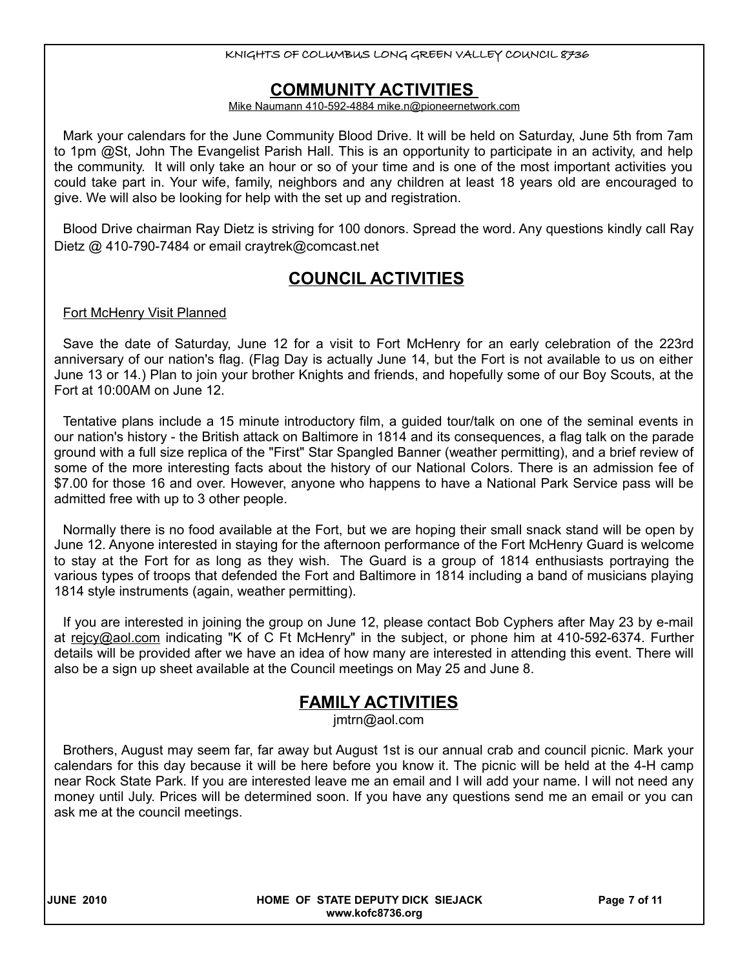### **COMMUNITY ACTIVITIES**

Mike Naumann 410-592-4884 mike.n@pioneernetwork.com

Mark your calendars for the June Community Blood Drive. It will be held on Saturday, June 5th from 7am to 1pm @St, John The Evangelist Parish Hall. This is an opportunity to participate in an activity, and help the community. It will only take an hour or so of your time and is one of the most important activities you could take part in. Your wife, family, neighbors and any children at least 18 years old are encouraged to give. We will also be looking for help with the set up and registration.

Blood Drive chairman Ray Dietz is striving for 100 donors. Spread the word. Any questions kindly call Ray Dietz @ 410-790-7484 or email craytrek@comcast.net

### **COUNCIL ACTIVITIES**

### Fort McHenry Visit Planned

Save the date of Saturday, June 12 for a visit to Fort McHenry for an early celebration of the 223rd anniversary of our nation's flag. (Flag Day is actually June 14, but the Fort is not available to us on either June 13 or 14.) Plan to join your brother Knights and friends, and hopefully some of our Boy Scouts, at the Fort at 10:00AM on June 12.

Tentative plans include a 15 minute introductory film, a guided tour/talk on one of the seminal events in our nation's history - the British attack on Baltimore in 1814 and its consequences, a flag talk on the parade ground with a full size replica of the "First" Star Spangled Banner (weather permitting), and a brief review of some of the more interesting facts about the history of our National Colors. There is an admission fee of \$7.00 for those 16 and over. However, anyone who happens to have a National Park Service pass will be admitted free with up to 3 other people.

Normally there is no food available at the Fort, but we are hoping their small snack stand will be open by June 12. Anyone interested in staying for the afternoon performance of the Fort McHenry Guard is welcome to stay at the Fort for as long as they wish. The Guard is a group of 1814 enthusiasts portraying the various types of troops that defended the Fort and Baltimore in 1814 including a band of musicians playing 1814 style instruments (again, weather permitting).

If you are interested in joining the group on June 12, please contact Bob Cyphers after May 23 by e-mail at rejcy@aol.com indicating "K of C Ft McHenry" in the subject, or phone him at 410-592-6374. Further details will be provided after we have an idea of how many are interested in attending this event. There will also be a sign up sheet available at the Council meetings on May 25 and June 8.

### **FAMILY ACTIVITIES**

jmtrn@aol.com

Brothers, August may seem far, far away but August 1st is our annual crab and council picnic. Mark your calendars for this day because it will be here before you know it. The picnic will be held at the 4-H camp near Rock State Park. If you are interested leave me an email and I will add your name. I will not need any money until July. Prices will be determined soon. If you have any questions send me an email or you can ask me at the council meetings.

**JUNE 2010 HOME OF STATE DEPUTY DICK SIEJACK Page 7 of 11 www.kofc8736.org**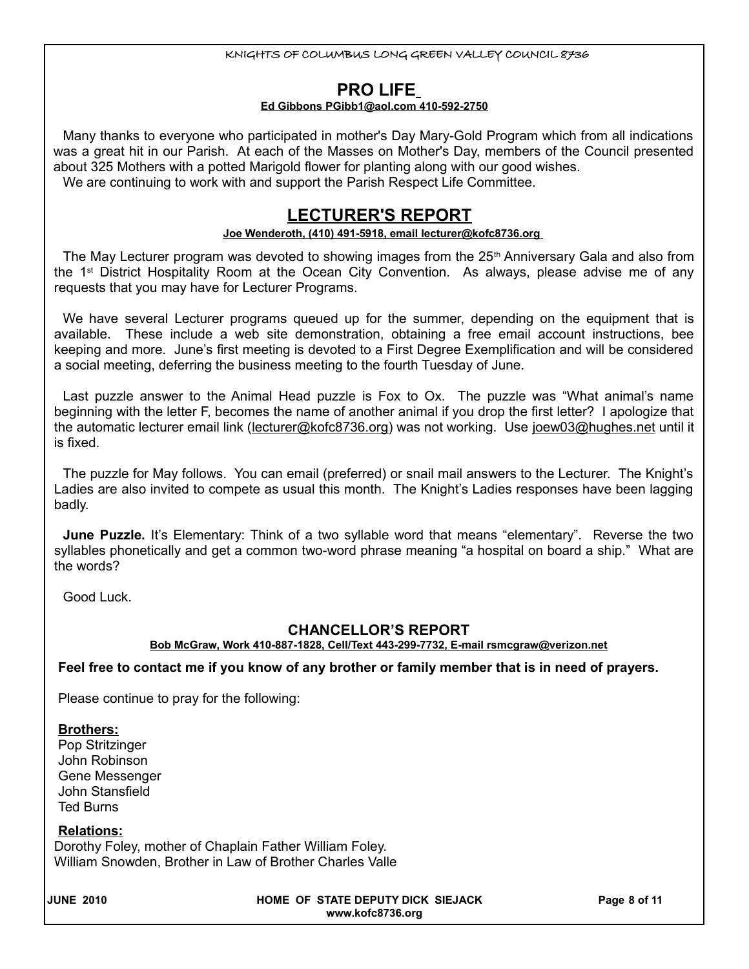## **PRO LIFE**

### **Ed Gibbons PGibb1@aol.com 410-592-2750**

Many thanks to everyone who participated in mother's Day Mary-Gold Program which from all indications was a great hit in our Parish. At each of the Masses on Mother's Day, members of the Council presented about 325 Mothers with a potted Marigold flower for planting along with our good wishes. We are continuing to work with and support the Parish Respect Life Committee.

### **LECTURER'S REPORT**

### **Joe Wenderoth, (410) 491-5918, email lecturer@kofc8736.org**

The May Lecturer program was devoted to showing images from the  $25<sup>th</sup>$  Anniversary Gala and also from the 1st District Hospitality Room at the Ocean City Convention. As always, please advise me of any requests that you may have for Lecturer Programs.

We have several Lecturer programs queued up for the summer, depending on the equipment that is available. These include a web site demonstration, obtaining a free email account instructions, bee keeping and more. June's first meeting is devoted to a First Degree Exemplification and will be considered a social meeting, deferring the business meeting to the fourth Tuesday of June.

Last puzzle answer to the Animal Head puzzle is Fox to Ox. The puzzle was "What animal's name beginning with the letter F, becomes the name of another animal if you drop the first letter? I apologize that the automatic lecturer email link (lecturer@kofc8736.org) was not working. Use joew03@hughes.net until it is fixed.

The puzzle for May follows. You can email (preferred) or snail mail answers to the Lecturer. The Knight's Ladies are also invited to compete as usual this month. The Knight's Ladies responses have been lagging badly.

**June Puzzle.** It's Elementary: Think of a two syllable word that means "elementary". Reverse the two syllables phonetically and get a common two-word phrase meaning "a hospital on board a ship." What are the words?

Good Luck.

### **CHANCELLOR'S REPORT**

### **Bob McGraw, Work 410-887-1828, Cell/Text 443-299-7732, E-mail rsmcgraw@verizon.net**

### **Feel free to contact me if you know of any brother or family member that is in need of prayers.**

Please continue to pray for the following:

### **Brothers:**

Pop Stritzinger John Robinson Gene Messenger John Stansfield Ted Burns

### **Relations:**

Dorothy Foley, mother of Chaplain Father William Foley. William Snowden, Brother in Law of Brother Charles Valle

HOME OF STATE DEPUTY DICK SIEJACK **Fig. 10** Page 8 of 11 **www.kofc8736.org**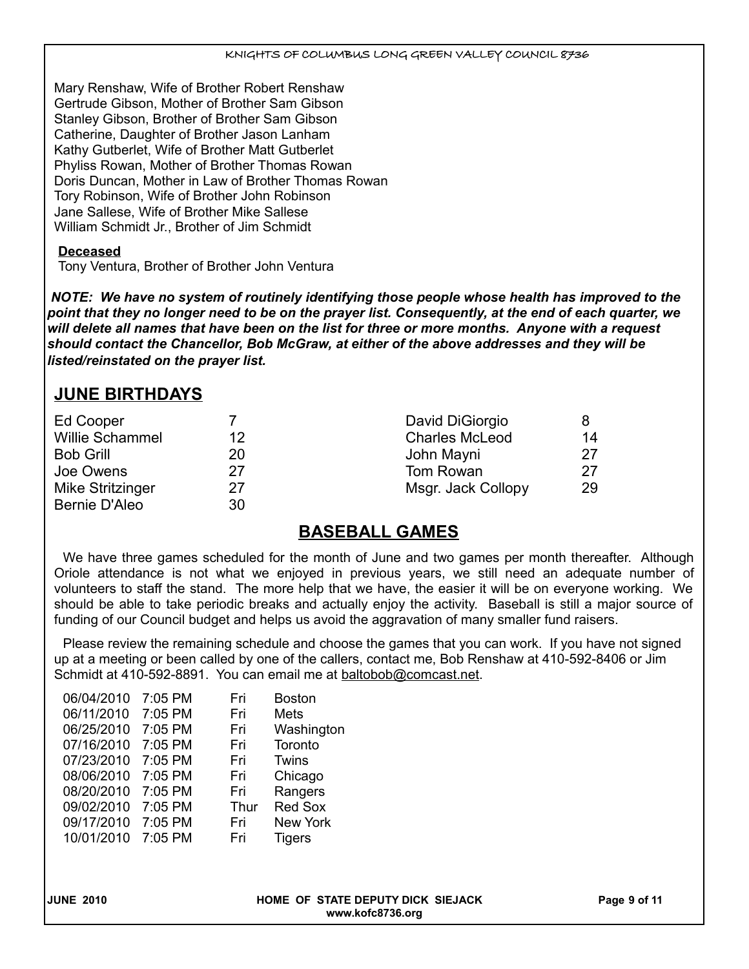Mary Renshaw, Wife of Brother Robert Renshaw Gertrude Gibson, Mother of Brother Sam Gibson Stanley Gibson, Brother of Brother Sam Gibson Catherine, Daughter of Brother Jason Lanham Kathy Gutberlet, Wife of Brother Matt Gutberlet Phyliss Rowan, Mother of Brother Thomas Rowan Doris Duncan, Mother in Law of Brother Thomas Rowan Tory Robinson, Wife of Brother John Robinson Jane Sallese, Wife of Brother Mike Sallese William Schmidt Jr., Brother of Jim Schmidt

### **Deceased**

Tony Ventura, Brother of Brother John Ventura

*NOTE: We have no system of routinely identifying those people whose health has improved to the point that they no longer need to be on the prayer list. Consequently, at the end of each quarter, we will delete all names that have been on the list for three or more months. Anyone with a request should contact the Chancellor, Bob McGraw, at either of the above addresses and they will be listed/reinstated on the prayer list.* 

### **JUNE BIRTHDAYS**

| Ed Cooper              |    | David DiGiorgio       | 8  |
|------------------------|----|-----------------------|----|
| <b>Willie Schammel</b> | 12 | <b>Charles McLeod</b> | 14 |
| <b>Bob Grill</b>       | 20 | John Mayni            | 27 |
| Joe Owens              | 27 | Tom Rowan             | 27 |
| Mike Stritzinger       | 27 | Msgr. Jack Collopy    | 29 |
| Bernie D'Aleo          | 30 |                       |    |

### **BASEBALL GAMES**

We have three games scheduled for the month of June and two games per month thereafter. Although Oriole attendance is not what we enjoyed in previous years, we still need an adequate number of volunteers to staff the stand. The more help that we have, the easier it will be on everyone working. We should be able to take periodic breaks and actually enjoy the activity. Baseball is still a major source of funding of our Council budget and helps us avoid the aggravation of many smaller fund raisers.

Please review the remaining schedule and choose the games that you can work. If you have not signed up at a meeting or been called by one of the callers, contact me, Bob Renshaw at 410-592-8406 or Jim Schmidt at 410-592-8891. You can email me at baltobob@comcast.net.

| 7:05 PM | Fri  | <b>Boston</b>  |
|---------|------|----------------|
| 7:05 PM | Fri  | Mets           |
| 7:05 PM | Fri  | Washington     |
| 7:05 PM | Fri  | Toronto        |
| 7:05 PM | Fri  | Twins          |
| 7:05 PM | Fri  | Chicago        |
| 7:05 PM | Fri  | Rangers        |
| 7:05 PM | Thur | <b>Red Sox</b> |
| 7:05 PM | Fri  | New York       |
| 7:05 PM | Fri  | <b>Tigers</b>  |
|         |      |                |
|         |      |                |

**JUNE 2010 HOME OF STATE DEPUTY DICK SIEJACK Page 9 of 11 www.kofc8736.org**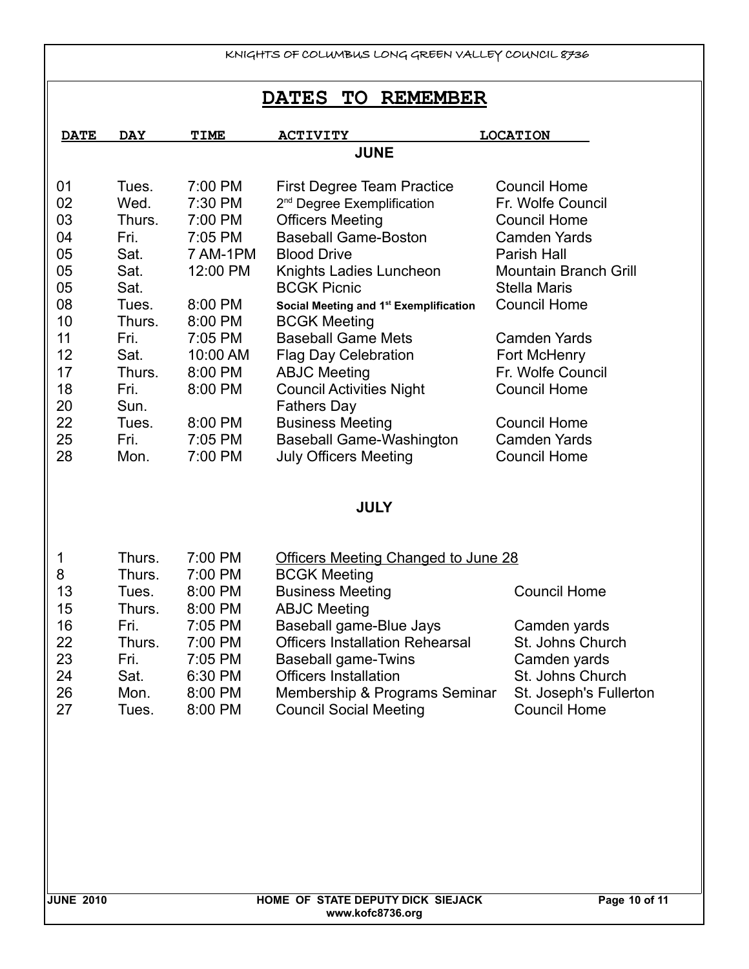## **DATES TO REMEMBER**

| <b>DATE</b>                                                                                        | <b>DAY</b>                                                                                                                                    | <b>TIME</b>                                                                                                                                                          | <b>ACTIVITY</b>                                                                                                                                                                                                                                                                                                                                                                                                                                                                                                                     | <b>LOCATION</b>                                                                                                                                                                                                                                                                                                                                    |  |  |
|----------------------------------------------------------------------------------------------------|-----------------------------------------------------------------------------------------------------------------------------------------------|----------------------------------------------------------------------------------------------------------------------------------------------------------------------|-------------------------------------------------------------------------------------------------------------------------------------------------------------------------------------------------------------------------------------------------------------------------------------------------------------------------------------------------------------------------------------------------------------------------------------------------------------------------------------------------------------------------------------|----------------------------------------------------------------------------------------------------------------------------------------------------------------------------------------------------------------------------------------------------------------------------------------------------------------------------------------------------|--|--|
| <b>JUNE</b>                                                                                        |                                                                                                                                               |                                                                                                                                                                      |                                                                                                                                                                                                                                                                                                                                                                                                                                                                                                                                     |                                                                                                                                                                                                                                                                                                                                                    |  |  |
| 01<br>02<br>03<br>04<br>05<br>05<br>05<br>08<br>10<br>11<br>12<br>17<br>18<br>20<br>22<br>25<br>28 | Tues.<br>Wed.<br>Thurs.<br>Fri.<br>Sat.<br>Sat.<br>Sat.<br>Tues.<br>Thurs.<br>Fri.<br>Sat.<br>Thurs.<br>Fri.<br>Sun.<br>Tues.<br>Fri.<br>Mon. | 7:00 PM<br>7:30 PM<br>7:00 PM<br>7:05 PM<br>7 AM-1PM<br>12:00 PM<br>8:00 PM<br>8:00 PM<br>7:05 PM<br>10:00 AM<br>8:00 PM<br>8:00 PM<br>8:00 PM<br>7:05 PM<br>7:00 PM | <b>First Degree Team Practice</b><br>2 <sup>nd</sup> Degree Exemplification<br><b>Officers Meeting</b><br><b>Baseball Game-Boston</b><br><b>Blood Drive</b><br>Knights Ladies Luncheon<br><b>BCGK Picnic</b><br>Social Meeting and 1 <sup>st</sup> Exemplification<br><b>BCGK Meeting</b><br><b>Baseball Game Mets</b><br><b>Flag Day Celebration</b><br><b>ABJC Meeting</b><br><b>Council Activities Night</b><br><b>Fathers Day</b><br><b>Business Meeting</b><br><b>Baseball Game-Washington</b><br><b>July Officers Meeting</b> | <b>Council Home</b><br>Fr. Wolfe Council<br><b>Council Home</b><br><b>Camden Yards</b><br><b>Parish Hall</b><br><b>Mountain Branch Grill</b><br><b>Stella Maris</b><br><b>Council Home</b><br><b>Camden Yards</b><br>Fort McHenry<br>Fr. Wolfe Council<br><b>Council Home</b><br><b>Council Home</b><br><b>Camden Yards</b><br><b>Council Home</b> |  |  |
|                                                                                                    |                                                                                                                                               |                                                                                                                                                                      | <b>JULY</b>                                                                                                                                                                                                                                                                                                                                                                                                                                                                                                                         |                                                                                                                                                                                                                                                                                                                                                    |  |  |
|                                                                                                    |                                                                                                                                               |                                                                                                                                                                      |                                                                                                                                                                                                                                                                                                                                                                                                                                                                                                                                     |                                                                                                                                                                                                                                                                                                                                                    |  |  |
| 1                                                                                                  | Thurs.                                                                                                                                        | 7:00 PM                                                                                                                                                              | <b>Officers Meeting Changed to June 28</b>                                                                                                                                                                                                                                                                                                                                                                                                                                                                                          |                                                                                                                                                                                                                                                                                                                                                    |  |  |
| 8<br>13                                                                                            | Thurs.<br>Tues.                                                                                                                               | 7:00 PM<br>8:00 PM                                                                                                                                                   | <b>BCGK Meeting</b><br><b>Business Meeting</b>                                                                                                                                                                                                                                                                                                                                                                                                                                                                                      | <b>Council Home</b>                                                                                                                                                                                                                                                                                                                                |  |  |
| 15                                                                                                 | Thurs.                                                                                                                                        | 8:00 PM                                                                                                                                                              | <b>ABJC Meeting</b>                                                                                                                                                                                                                                                                                                                                                                                                                                                                                                                 |                                                                                                                                                                                                                                                                                                                                                    |  |  |
| 16                                                                                                 | Fri.                                                                                                                                          | 7:05 PM                                                                                                                                                              | Baseball game-Blue Jays                                                                                                                                                                                                                                                                                                                                                                                                                                                                                                             | Camden yards                                                                                                                                                                                                                                                                                                                                       |  |  |
| 22                                                                                                 | Thurs.                                                                                                                                        | 7:00 PM                                                                                                                                                              | <b>Officers Installation Rehearsal</b>                                                                                                                                                                                                                                                                                                                                                                                                                                                                                              | St. Johns Church                                                                                                                                                                                                                                                                                                                                   |  |  |
| 23<br>24                                                                                           | Fri.<br>Sat.                                                                                                                                  | 7:05 PM<br>6:30 PM                                                                                                                                                   | <b>Baseball game-Twins</b><br><b>Officers Installation</b>                                                                                                                                                                                                                                                                                                                                                                                                                                                                          | Camden yards<br>St. Johns Church                                                                                                                                                                                                                                                                                                                   |  |  |
| 26                                                                                                 | Mon.                                                                                                                                          | 8:00 PM                                                                                                                                                              | Membership & Programs Seminar                                                                                                                                                                                                                                                                                                                                                                                                                                                                                                       | St. Joseph's Fullerton                                                                                                                                                                                                                                                                                                                             |  |  |
| 27                                                                                                 | Tues.                                                                                                                                         | 8:00 PM                                                                                                                                                              | <b>Council Social Meeting</b>                                                                                                                                                                                                                                                                                                                                                                                                                                                                                                       | <b>Council Home</b>                                                                                                                                                                                                                                                                                                                                |  |  |
|                                                                                                    |                                                                                                                                               |                                                                                                                                                                      |                                                                                                                                                                                                                                                                                                                                                                                                                                                                                                                                     |                                                                                                                                                                                                                                                                                                                                                    |  |  |
|                                                                                                    |                                                                                                                                               |                                                                                                                                                                      |                                                                                                                                                                                                                                                                                                                                                                                                                                                                                                                                     |                                                                                                                                                                                                                                                                                                                                                    |  |  |
|                                                                                                    |                                                                                                                                               |                                                                                                                                                                      |                                                                                                                                                                                                                                                                                                                                                                                                                                                                                                                                     |                                                                                                                                                                                                                                                                                                                                                    |  |  |
|                                                                                                    |                                                                                                                                               |                                                                                                                                                                      |                                                                                                                                                                                                                                                                                                                                                                                                                                                                                                                                     |                                                                                                                                                                                                                                                                                                                                                    |  |  |
|                                                                                                    |                                                                                                                                               |                                                                                                                                                                      |                                                                                                                                                                                                                                                                                                                                                                                                                                                                                                                                     |                                                                                                                                                                                                                                                                                                                                                    |  |  |
| <b>JUNE 2010</b>                                                                                   | Page 10 of 11<br>HOME OF STATE DEPUTY DICK SIEJACK<br>www.kofc8736.org                                                                        |                                                                                                                                                                      |                                                                                                                                                                                                                                                                                                                                                                                                                                                                                                                                     |                                                                                                                                                                                                                                                                                                                                                    |  |  |